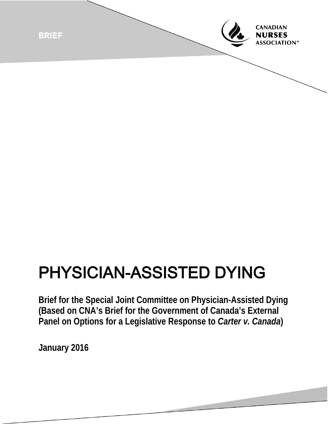

## PHYSICIAN-ASSISTED DYING

**Brief for the Special Joint Committee on Physician-Assisted Dying (Based on CNA's Brief for the Government of Canada's External Panel on Options for a Legislative Response to** *Carter v. Canada***)** 

**January 2016**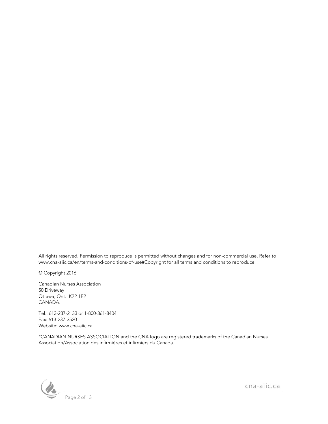All rights reserved. Permission to reproduce is permitted without changes and for non-commercial use. Refer to www.cna-aiic.ca/en/terms-and-conditions-of-use#Copyright for all terms and conditions to reproduce.

© Copyright 2016

Canadian Nurses Association 50 Driveway Ottawa, Ont. K2P 1E2 CANADA.

Tel.: 613-237-2133 or 1-800-361-8404 Fax: 613-237-3520 Website: www.cna-aiic.ca

\*CANADIAN NURSES ASSOCIATION and the CNA logo are registered trademarks of the Canadian Nurses Association/Association des infirmières et infirmiers du Canada.

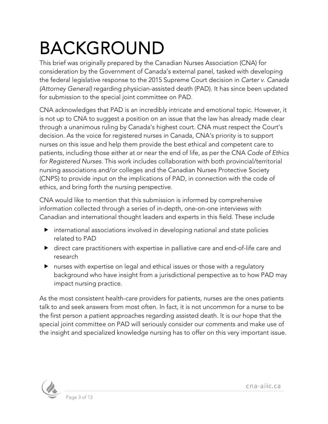# BACKGROUND This brief was originally prepared by the Canadian Nurses Association (CNA) for

consideration by the Government of Canada's external panel, tasked with developing the federal legislative response to the 2015 Supreme Court decision in *Carter v. Canada (Attorney General)* regarding physician-assisted death (PAD). It has since been updated for submission to the special joint committee on PAD.

CNA acknowledges that PAD is an incredibly intricate and emotional topic. However, it is not up to CNA to suggest a position on an issue that the law has already made clear through a unanimous ruling by Canada's highest court. CNA must respect the Court's decision. As the voice for registered nurses in Canada, CNA's priority is to support nurses on this issue and help them provide the best ethical and competent care to patients, including those either at or near the end of life, as per the CNA *Code of Ethics for Registered Nurses*. This work includes collaboration with both provincial/territorial nursing associations and/or colleges and the Canadian Nurses Protective Society (CNPS) to provide input on the implications of PAD, in connection with the code of ethics, and bring forth the nursing perspective.

CNA would like to mention that this submission is informed by comprehensive information collected through a series of in-depth, one-on-one interviews with Canadian and international thought leaders and experts in this field. These include

- international associations involved in developing national and state policies related to PAD
- direct care practitioners with expertise in palliative care and end-of-life care and research
- nurses with expertise on legal and ethical issues or those with a regulatory background who have insight from a jurisdictional perspective as to how PAD may impact nursing practice.

As the most consistent health-care providers for patients, nurses are the ones patients talk to and seek answers from most often. In fact, it is not uncommon for a nurse to be the first person a patient approaches regarding assisted death. It is our hope that the special joint committee on PAD will seriously consider our comments and make use of the insight and specialized knowledge nursing has to offer on this very important issue.

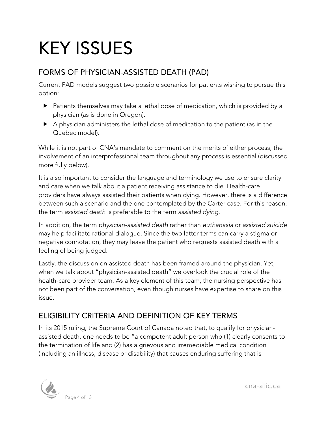# KEY ISSUES

### FORMS OF PHYSICIAN-ASSISTED DEATH (PAD)

Current PAD models suggest two possible scenarios for patients wishing to pursue this option:

- Patients themselves may take a lethal dose of medication, which is provided by a physician (as is done in Oregon).
- A physician administers the lethal dose of medication to the patient (as in the Quebec model).

While it is not part of CNA's mandate to comment on the merits of either process, the involvement of an interprofessional team throughout any process is essential (discussed more fully below).

It is also important to consider the language and terminology we use to ensure clarity and care when we talk about a patient receiving assistance to die. Health-care providers have always assisted their patients when dying. However, there is a difference between such a scenario and the one contemplated by the Carter case. For this reason, the term *assisted death* is preferable to the term *assisted dying*.

In addition, the term *physician-assisted death* rather than *euthanasia* or *assisted suicide* may help facilitate rational dialogue. Since the two latter terms can carry a stigma or negative connotation, they may leave the patient who requests assisted death with a feeling of being judged.

Lastly, the discussion on assisted death has been framed around the physician. Yet, when we talk about "physician-assisted death" we overlook the crucial role of the health-care provider team. As a key element of this team, the nursing perspective has not been part of the conversation, even though nurses have expertise to share on this issue.

## ELIGIBILITY CRITERIA AND DEFINITION OF KEY TERMS

In its 2015 ruling, the Supreme Court of Canada noted that, to qualify for physicianassisted death, one needs to be "a competent adult person who (1) clearly consents to the termination of life and (2) has a grievous and irremediable medical condition (including an illness, disease or disability) that causes enduring suffering that is

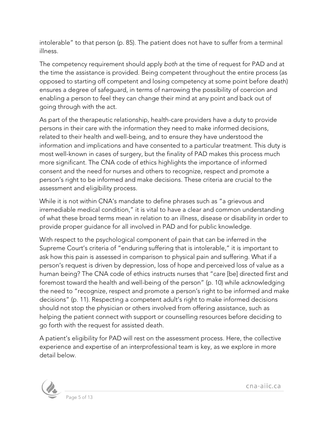intolerable" to that person (p. 85). The patient does not have to suffer from a terminal illness.

The competency requirement should apply *both* at the time of request for PAD and at the time the assistance is provided. Being competent throughout the entire process (as opposed to starting off competent and losing competency at some point before death) ensures a degree of safeguard, in terms of narrowing the possibility of coercion and enabling a person to feel they can change their mind at any point and back out of going through with the act.

As part of the therapeutic relationship, health-care providers have a duty to provide persons in their care with the information they need to make informed decisions, related to their health and well-being, and to ensure they have understood the information and implications and have consented to a particular treatment. This duty is most well-known in cases of surgery, but the finality of PAD makes this process much more significant. The CNA code of ethics highlights the importance of informed consent and the need for nurses and others to recognize, respect and promote a person's right to be informed and make decisions. These criteria are crucial to the assessment and eligibility process.

While it is not within CNA's mandate to define phrases such as "a grievous and irremediable medical condition," it is vital to have a clear and common understanding of what these broad terms mean in relation to an illness, disease or disability in order to provide proper guidance for all involved in PAD and for public knowledge.

With respect to the psychological component of pain that can be inferred in the Supreme Court's criteria of "enduring suffering that is intolerable," it is important to ask how this pain is assessed in comparison to physical pain and suffering. What if a person's request is driven by depression, loss of hope and perceived loss of value as a human being? The CNA code of ethics instructs nurses that "care [be] directed first and foremost toward the health and well-being of the person" (p. 10) while acknowledging the need to "recognize, respect and promote a person's right to be informed and make decisions" (p. 11). Respecting a competent adult's right to make informed decisions should not stop the physician or others involved from offering assistance, such as helping the patient connect with support or counselling resources before deciding to go forth with the request for assisted death.

A patient's eligibility for PAD will rest on the assessment process. Here, the collective experience and expertise of an interprofessional team is key, as we explore in more detail below.

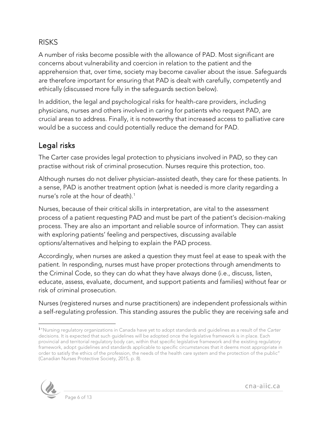#### RISKS

A number of risks become possible with the allowance of PAD. Most significant are concerns about vulnerability and coercion in relation to the patient and the apprehension that, over time, society may become cavalier about the issue. Safeguards are therefore important for ensuring that PAD is dealt with carefully, competently and ethically (discussed more fully in the safeguards section below).

In addition, the legal and psychological risks for health-care providers, including physicians, nurses and others involved in caring for patients who request PAD, are crucial areas to address. Finally, it is noteworthy that increased access to palliative care would be a success and could potentially reduce the demand for PAD.

### Legal risks

The Carter case provides legal protection to physicians involved in PAD, so they can practise without risk of criminal prosecution. Nurses require this protection, too.

Although nurses do not deliver physician-assisted death, they care for these patients. In a sense, PAD is another treatment option (what is needed is more clarity regarding a nurse's role at the hour of death).<sup>[1](#page-5-0)</sup>

Nurses, because of their critical skills in interpretation, are vital to the assessment process of a patient requesting PAD and must be part of the patient's decision-making process. They are also an important and reliable source of information. They can assist with exploring patients' feeling and perspectives, discussing available options/alternatives and helping to explain the PAD process.

Accordingly, when nurses are asked a question they must feel at ease to speak with the patient. In responding, nurses must have proper protections through amendments to the Criminal Code, so they can do what they have always done (i.e., discuss, listen, educate, assess, evaluate, document, and support patients and families) without fear or risk of criminal prosecution.

Nurses (registered nurses and nurse practitioners) are independent professionals within a self-regulating profession. This standing assures the public they are receiving safe and

<span id="page-5-0"></span><sup>1</sup> "Nursing regulatory organizations in Canada have yet to adopt standards and guidelines as a result of the *Carter* decisions. It is expected that such guidelines will be adopted once the legislative framework is in place. Each provincial and territorial regulatory body can, within that specific legislative framework and the existing regulatory framework, adopt guidelines and standards applicable to specific circumstances that it deems most appropriate in order to satisfy the ethics of the profession, the needs of the health care system and the protection of the public" (Canadian Nurses Protective Society, 2015, p. 8).



 $\ddot{\phantom{a}}$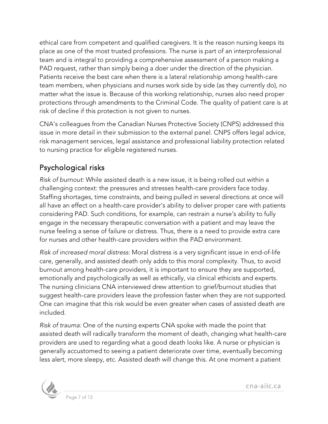ethical care from competent and qualified caregivers. It is the reason nursing keeps its place as one of the most trusted professions. The nurse is part of an interprofessional team and is integral to providing a comprehensive assessment of a person making a PAD request, rather than simply being a doer under the direction of the physician. Patients receive the best care when there is a lateral relationship among health-care team members, when physicians and nurses work side by side (as they currently do), no matter what the issue is. Because of this working relationship, nurses also need proper protections through amendments to the Criminal Code. The quality of patient care is at risk of decline if this protection is not given to nurses.

CNA's colleagues from the Canadian Nurses Protective Society (CNPS) addressed this issue in more detail in their submission to the external panel. CNPS offers legal advice, risk management services, legal assistance and [professional liability protection](http://www.cnps.ca/index.php?page=3) related to nursing practice for [eligible](http://www.cnps.ca/index.php?page=12) registered nurses.

### Psychological risks

*Risk of burnout:* While assisted death is a new issue, it is being rolled out within a challenging context: the pressures and stresses health-care providers face today. Staffing shortages, time constraints, and being pulled in several directions at once will all have an effect on a health-care provider's ability to deliver proper care with patients considering PAD. Such conditions, for example, can restrain a nurse's ability to fully engage in the necessary therapeutic conversation with a patient and may leave the nurse feeling a sense of failure or distress. Thus, there is a need to provide extra care for nurses and other health-care providers within the PAD environment.

*Risk of increased moral distress:* Moral distress is a very significant issue in end-of-life care, generally, and assisted death only adds to this moral complexity. Thus, to avoid burnout among health-care providers, it is important to ensure they are supported, emotionally and psychologically as well as ethically, via clinical ethicists and experts. The nursing clinicians CNA interviewed drew attention to grief/burnout studies that suggest health-care providers leave the profession faster when they are not supported. One can imagine that this risk would be even greater when cases of assisted death are included.

*Risk of trauma:* One of the nursing experts CNA spoke with made the point that assisted death will radically transform the moment of death, changing what health-care providers are used to regarding what a good death looks like. A nurse or physician is generally accustomed to seeing a patient deteriorate over time, eventually becoming less alert, more sleepy, etc. Assisted death will change this. At one moment a patient



Page 7 of 13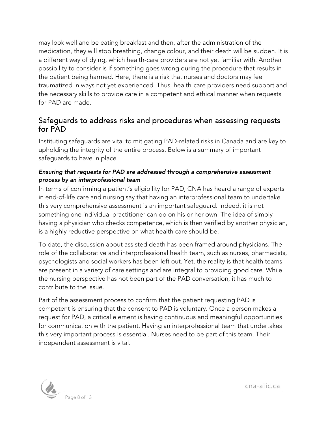may look well and be eating breakfast and then, after the administration of the medication, they will stop breathing, change colour, and their death will be sudden. It is a different way of dying, which health-care providers are not yet familiar with. Another possibility to consider is if something goes wrong during the procedure that results in the patient being harmed. Here, there is a risk that nurses and doctors may feel traumatized in ways not yet experienced. Thus, health-care providers need support and the necessary skills to provide care in a competent and ethical manner when requests for PAD are made.

#### Safeguards to address risks and procedures when assessing requests for PAD

Instituting safeguards are vital to mitigating PAD-related risks in Canada and are key to upholding the integrity of the entire process. Below is a summary of important safeguards to have in place.

#### *Ensuring that requests for PAD are addressed through a comprehensive assessment process by an interprofessional team*

In terms of confirming a patient's eligibility for PAD, CNA has heard a range of experts in end-of-life care and nursing say that having an interprofessional team to undertake this very comprehensive assessment is an important safeguard. Indeed, it is not something one individual practitioner can do on his or her own. The idea of simply having a physician who checks competence, which is then verified by another physician, is a highly reductive perspective on what health care should be.

To date, the discussion about assisted death has been framed around physicians. The role of the collaborative and interprofessional health team, such as nurses, pharmacists, psychologists and social workers has been left out. Yet, the reality is that health teams are present in a variety of care settings and are integral to providing good care. While the nursing perspective has not been part of the PAD conversation, it has much to contribute to the issue.

Part of the assessment process to confirm that the patient requesting PAD is competent is ensuring that the consent to PAD is voluntary. Once a person makes a request for PAD, a critical element is having continuous and meaningful opportunities for communication with the patient. Having an interprofessional team that undertakes this very important process is essential. Nurses need to be part of this team. Their independent assessment is vital.

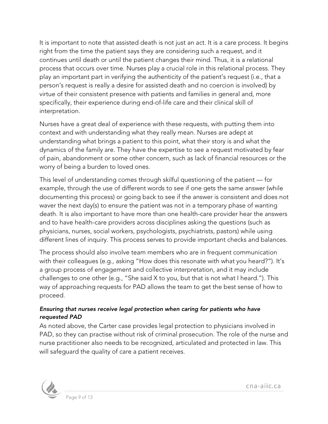It is important to note that assisted death is not just an act. It is a care process. It begins right from the time the patient says they are considering such a request, and it continues until death or until the patient changes their mind. Thus, it is a relational process that occurs over time. Nurses play a crucial role in this relational process. They play an important part in verifying the authenticity of the patient's request (i.e., that a person's request is really a desire for assisted death and no coercion is involved) by virtue of their consistent presence with patients and families in general and, more specifically, their experience during end-of-life care and their clinical skill of interpretation.

Nurses have a great deal of experience with these requests, with putting them into context and with understanding what they really mean. Nurses are adept at understanding what brings a patient to this point, what their story is and what the dynamics of the family are. They have the expertise to see a request motivated by fear of pain, abandonment or some other concern, such as lack of financial resources or the worry of being a burden to loved ones.

This level of understanding comes through skilful questioning of the patient — for example, through the use of different words to see if one gets the same answer (while documenting this process) or going back to see if the answer is consistent and does not waver the next day(s) to ensure the patient was not in a temporary phase of wanting death. It is also important to have more than one health-care provider hear the answers and to have health-care providers across disciplines asking the questions (such as physicians, nurses, social workers, psychologists, psychiatrists, pastors) while using different lines of inquiry. This process serves to provide important checks and balances.

The process should also involve team members who are in frequent communication with their colleagues (e.g., asking "How does this resonate with what you heard?"). It's a group process of engagement and collective interpretation, and it may include challenges to one other (e.g., "She said X to you, but that is not what I heard."). This way of approaching requests for PAD allows the team to get the best sense of how to proceed.

#### *Ensuring that nurses receive legal protection when caring for patients who have requested PAD*

As noted above, the Carter case provides legal protection to physicians involved in PAD, so they can practise without risk of criminal prosecution. The role of the nurse and nurse practitioner also needs to be recognized, articulated and protected in law. This will safeguard the quality of care a patient receives.

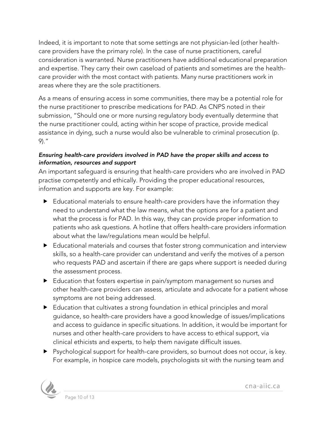Indeed, it is important to note that some settings are not physician-led (other healthcare providers have the primary role). In the case of nurse practitioners, careful consideration is warranted. Nurse practitioners have additional educational preparation and expertise. They carry their own caseload of patients and sometimes are the healthcare provider with the most contact with patients. Many nurse practitioners work in areas where they are the sole practitioners.

As a means of ensuring access in some communities, there may be a potential role for the nurse practitioner to prescribe medications for PAD. As CNPS noted in their submission, "Should one or more nursing regulatory body eventually determine that the nurse practitioner could, acting within her scope of practice, provide medical assistance in dying, such a nurse would also be vulnerable to criminal prosecution (p. 9)."

#### *Ensuring health-care providers involved in PAD have the proper skills and access to information, resources and support*

An important safeguard is ensuring that health-care providers who are involved in PAD practise competently and ethically. Providing the proper educational resources, information and supports are key. For example:

- Educational materials to ensure health-care providers have the information they need to understand what the law means, what the options are for a patient and what the process is for PAD. In this way, they can provide proper information to patients who ask questions. A hotline that offers health-care providers information about what the law/regulations mean would be helpful.
- Educational materials and courses that foster strong communication and interview skills, so a health-care provider can understand and verify the motives of a person who requests PAD and ascertain if there are gaps where support is needed during the assessment process.
- Education that fosters expertise in pain/symptom management so nurses and other health-care providers can assess, articulate and advocate for a patient whose symptoms are not being addressed.
- Education that cultivates a strong foundation in ethical principles and moral guidance, so health-care providers have a good knowledge of issues/implications and access to guidance in specific situations. In addition, it would be important for nurses and other health-care providers to have access to ethical support, via clinical ethicists and experts, to help them navigate difficult issues.
- Psychological support for health-care providers, so burnout does not occur, is key. For example, in hospice care models, psychologists sit with the nursing team and

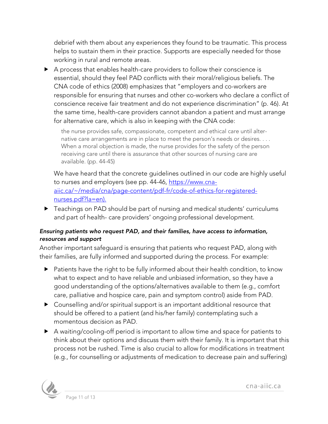debrief with them about any experiences they found to be traumatic. This process helps to sustain them in their practice. Supports are especially needed for those working in rural and remote areas.

 A process that enables health-care providers to follow their conscience is essential, should they feel PAD conflicts with their moral/religious beliefs. The CNA code of ethics (2008) emphasizes that "employers and co-workers are responsible for ensuring that nurses and other co-workers who declare a conflict of conscience receive fair treatment and do not experience discrimination" (p. 46). At the same time, health-care providers cannot abandon a patient and must arrange for alternative care, which is also in keeping with the CNA code:

the nurse provides safe, compassionate, competent and ethical care until alternative care arrangements are in place to meet the person's needs or desires. . . . When a moral objection is made, the nurse provides for the safety of the person receiving care until there is assurance that other sources of nursing care are available*.* (pp. 44-45)

We have heard that the concrete guidelines outlined in our code are highly useful to nurses and employers (see pp. 44-46, [https://www.cna](https://www.cna-aiic.ca/%7E/media/cna/page-content/pdf-fr/code-of-ethics-for-registered-nurses.pdf?la=en)[aiic.ca/~/media/cna/page-content/pdf-fr/code-of-ethics-for-registered](https://www.cna-aiic.ca/%7E/media/cna/page-content/pdf-fr/code-of-ethics-for-registered-nurses.pdf?la=en)[nurses.pdf?la=en\)](https://www.cna-aiic.ca/%7E/media/cna/page-content/pdf-fr/code-of-ethics-for-registered-nurses.pdf?la=en).

▶ Teachings on PAD should be part of nursing and medical students' curriculums and part of health- care providers' ongoing professional development.

#### *Ensuring patients who request PAD, and their families, have access to information, resources and support*

Another important safeguard is ensuring that patients who request PAD, along with their families, are fully informed and supported during the process. For example:

- Patients have the right to be fully informed about their health condition, to know what to expect and to have reliable and unbiased information, so they have a good understanding of the options/alternatives available to them (e.g., comfort care, palliative and hospice care, pain and symptom control) aside from PAD.
- Counselling and/or spiritual support is an important additional resource that should be offered to a patient (and his/her family) contemplating such a momentous decision as PAD.
- A waiting/cooling-off period is important to allow time and space for patients to think about their options and discuss them with their family. It is important that this process not be rushed. Time is also crucial to allow for modifications in treatment (e.g., for counselling or adjustments of medication to decrease pain and suffering)

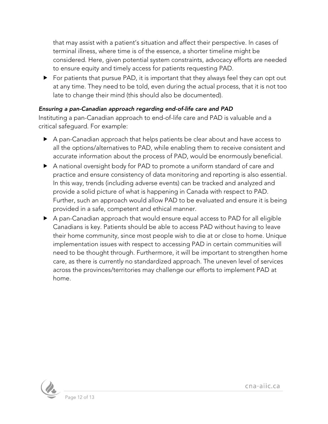that may assist with a patient's situation and affect their perspective. In cases of terminal illness, where time is of the essence, a shorter timeline might be considered. Here, given potential system constraints, advocacy efforts are needed to ensure equity and timely access for patients requesting PAD.

▶ For patients that pursue PAD, it is important that they always feel they can opt out at any time. They need to be told, even during the actual process, that it is not too late to change their mind (this should also be documented).

#### *Ensuring a pan-Canadian approach regarding end-of-life care and PAD*

Instituting a pan-Canadian approach to end-of-life care and PAD is valuable and a critical safeguard. For example:

- A pan-Canadian approach that helps patients be clear about and have access to all the options/alternatives to PAD, while enabling them to receive consistent and accurate information about the process of PAD, would be enormously beneficial.
- A national oversight body for PAD to promote a uniform standard of care and practice and ensure consistency of data monitoring and reporting is also essential. In this way, trends (including adverse events) can be tracked and analyzed and provide a solid picture of what is happening in Canada with respect to PAD. Further, such an approach would allow PAD to be evaluated and ensure it is being provided in a safe, competent and ethical manner.
- A pan-Canadian approach that would ensure equal access to PAD for all eligible Canadians is key. Patients should be able to access PAD without having to leave their home community, since most people wish to die at or close to home. Unique implementation issues with respect to accessing PAD in certain communities will need to be thought through. Furthermore, it will be important to strengthen home care, as there is currently no standardized approach. The uneven level of services across the provinces/territories may challenge our efforts to implement PAD at home.